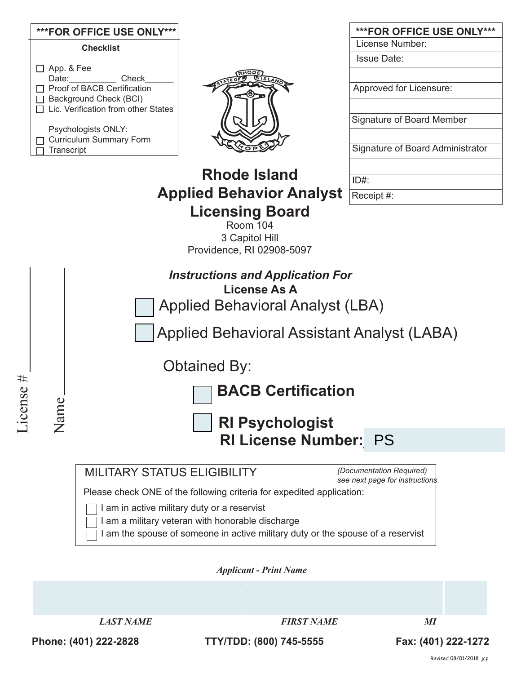|                                    |                                                                 | ***FOR OFFICE USE ONLY***                             |                                                                       | ***FOR OFFICE USE ONLY***        |  |
|------------------------------------|-----------------------------------------------------------------|-------------------------------------------------------|-----------------------------------------------------------------------|----------------------------------|--|
|                                    | <b>Checklist</b>                                                |                                                       |                                                                       | License Number:                  |  |
|                                    |                                                                 |                                                       |                                                                       | <b>Issue Date:</b>               |  |
|                                    | $\Box$ App. & Fee<br>Date:                                      | Check                                                 |                                                                       |                                  |  |
|                                    |                                                                 | □ Proof of BACB Certification                         |                                                                       | Approved for Licensure:          |  |
|                                    | □ Background Check (BCI)<br>Lic. Verification from other States |                                                       |                                                                       |                                  |  |
|                                    |                                                                 |                                                       |                                                                       | <b>Signature of Board Member</b> |  |
|                                    |                                                                 | Psychologists ONLY:<br><b>Curriculum Summary Form</b> |                                                                       |                                  |  |
|                                    | Transcript                                                      |                                                       |                                                                       | Signature of Board Administrator |  |
|                                    |                                                                 |                                                       |                                                                       |                                  |  |
|                                    |                                                                 |                                                       | <b>Rhode Island</b>                                                   | $ID#$ :                          |  |
|                                    |                                                                 |                                                       | <b>Applied Behavior Analyst</b>                                       | Receipt #:                       |  |
|                                    |                                                                 |                                                       |                                                                       |                                  |  |
|                                    |                                                                 |                                                       | <b>Licensing Board</b><br>Room 104                                    |                                  |  |
|                                    |                                                                 |                                                       | 3 Capitol Hill                                                        |                                  |  |
|                                    |                                                                 |                                                       | Providence, RI 02908-5097                                             |                                  |  |
|                                    |                                                                 |                                                       | <b>Instructions and Application For</b>                               |                                  |  |
|                                    | <b>License As A</b>                                             |                                                       |                                                                       |                                  |  |
|                                    | Applied Behavioral Analyst (LBA)                                |                                                       |                                                                       |                                  |  |
|                                    |                                                                 |                                                       |                                                                       |                                  |  |
|                                    |                                                                 |                                                       | Applied Behavioral Assistant Analyst (LABA)                           |                                  |  |
|                                    |                                                                 |                                                       |                                                                       |                                  |  |
|                                    |                                                                 |                                                       | <b>Obtained By:</b>                                                   |                                  |  |
| $^{\rm \#}$                        |                                                                 |                                                       |                                                                       |                                  |  |
| $\bullet$<br>$\boldsymbol{\omega}$ | <b>BACB Certification</b>                                       |                                                       |                                                                       |                                  |  |
| Licens                             |                                                                 |                                                       |                                                                       |                                  |  |
|                                    | Name<br><b>RI Psychologist</b>                                  |                                                       |                                                                       |                                  |  |
|                                    |                                                                 | <b>RI License Number: PS</b>                          |                                                                       |                                  |  |
|                                    |                                                                 |                                                       |                                                                       |                                  |  |
|                                    |                                                                 | <b>MILITARY STATUS ELIGIBILITY</b>                    |                                                                       | (Documentation Required)         |  |
|                                    |                                                                 |                                                       |                                                                       | see next page for instructions   |  |
|                                    |                                                                 |                                                       | Please check ONE of the following criteria for expedited application: |                                  |  |
|                                    |                                                                 |                                                       | I am in active military duty or a reservist                           |                                  |  |
|                                    |                                                                 |                                                       | I am a military veteran with honorable discharge                      |                                  |  |

I am the spouse of someone in active military duty or the spouse of a reservist

*Applicant - Print Name* 

*LAST NAME* FIRST NAME MI

**Phone: (401) 222-2828 TTY/TDD: (800) 745-5555 Fax: (401) 222-1272**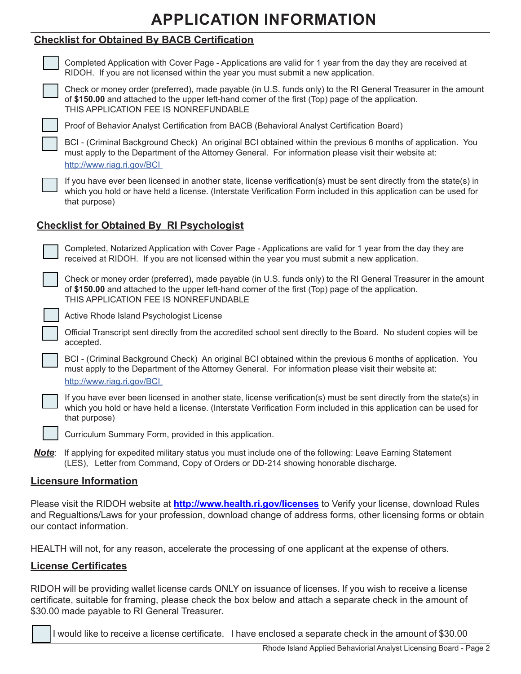# **APPLICATION INFORMATION**

## **Checklist for Obtained By BACB Certification**

|                                                  | Completed Application with Cover Page - Applications are valid for 1 year from the day they are received at<br>RIDOH. If you are not licensed within the year you must submit a new application.                                                             |  |  |  |
|--------------------------------------------------|--------------------------------------------------------------------------------------------------------------------------------------------------------------------------------------------------------------------------------------------------------------|--|--|--|
|                                                  | Check or money order (preferred), made payable (in U.S. funds only) to the RI General Treasurer in the amount<br>of \$150.00 and attached to the upper left-hand corner of the first (Top) page of the application.<br>THIS APPLICATION FEE IS NONREFUNDABLE |  |  |  |
|                                                  | Proof of Behavior Analyst Certification from BACB (Behavioral Analyst Certification Board)                                                                                                                                                                   |  |  |  |
|                                                  | BCI - (Criminal Background Check) An original BCI obtained within the previous 6 months of application. You<br>must apply to the Department of the Attorney General. For information please visit their website at:<br>http://www.riag.ri.gov/BCI            |  |  |  |
|                                                  | If you have ever been licensed in another state, license verification(s) must be sent directly from the state(s) in<br>which you hold or have held a license. (Interstate Verification Form included in this application can be used for<br>that purpose)    |  |  |  |
| <b>Checklist for Obtained By RI Psychologist</b> |                                                                                                                                                                                                                                                              |  |  |  |
|                                                  | Completed, Notarized Application with Cover Page - Applications are valid for 1 year from the day they are<br>received at RIDOH. If you are not licensed within the year you must submit a new application.                                                  |  |  |  |
|                                                  | Check or money order (preferred), made payable (in U.S. funds only) to the RI General Treasurer in the amount<br>of \$150.00 and attached to the upper left-hand corner of the first (Top) page of the application.<br>THIS APPLICATION FEE IS NONREFUNDABLE |  |  |  |
|                                                  | Active Rhode Island Psychologist License                                                                                                                                                                                                                     |  |  |  |
|                                                  | Official Transcript sent directly from the accredited school sent directly to the Board. No student copies will be<br>accepted.                                                                                                                              |  |  |  |
|                                                  | BCI - (Criminal Background Check) An original BCI obtained within the previous 6 months of application. You<br>must apply to the Department of the Attorney General. For information please visit their website at:<br>http://www.riag.ri.gov/BCI            |  |  |  |
|                                                  | If you have ever been licensed in another state, license verification(s) must be sent directly from the state(s) in<br>which you hold or have held a license. (Interstate Verification Form included in this application can be used for<br>that purpose)    |  |  |  |
|                                                  | Curriculum Summary Form, provided in this application.                                                                                                                                                                                                       |  |  |  |
|                                                  | <b>Note:</b> If applying for expedited military status you must include one of the following: Leave Earning Statement<br>(LES), Letter from Command, Copy of Orders or DD-214 showing honorable discharge.                                                   |  |  |  |
|                                                  | <b>Licensure Information</b>                                                                                                                                                                                                                                 |  |  |  |

Please visit the RIDOH website at **http://www.health.ri.gov/licenses** to Verify your license, download Rules and Regualtions/Laws for your profession, download change of address forms, other licensing forms or obtain our contact information.

HEALTH will not, for any reason, accelerate the processing of one applicant at the expense of others.

### **License Certificates**

RIDOH will be providing wallet license cards ONLY on issuance of licenses. If you wish to receive a license certificate, suitable for framing, please check the box below and attach a separate check in the amount of \$30.00 made payable to RI General Treasurer.

I would like to receive a license certificate. I have enclosed a separate check in the amount of \$30.00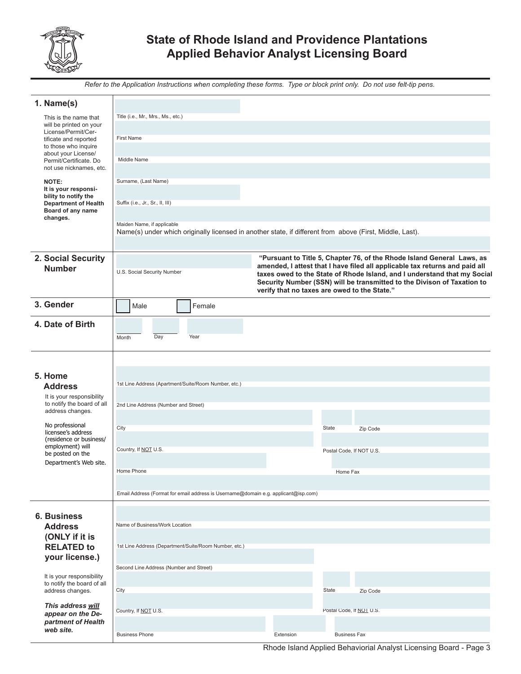

# **State of Rhode Island and Providence Plantations Applied Behavior Analyst Licensing Board**

*Refer to the Application Instructions when completing these forms. Type or block print only. Do not use felt-tip pens.*

| 1. Name(s)                                              |                                                                                                                                                                                        |           |                          |  |
|---------------------------------------------------------|----------------------------------------------------------------------------------------------------------------------------------------------------------------------------------------|-----------|--------------------------|--|
| This is the name that                                   | Title (i.e., Mr., Mrs., Ms., etc.)                                                                                                                                                     |           |                          |  |
| will be printed on your<br>License/Permit/Cer-          |                                                                                                                                                                                        |           |                          |  |
| tificate and reported                                   | <b>First Name</b>                                                                                                                                                                      |           |                          |  |
| to those who inquire<br>about your License/             |                                                                                                                                                                                        |           |                          |  |
| Permit/Certificate. Do<br>not use nicknames, etc.       | Middle Name                                                                                                                                                                            |           |                          |  |
|                                                         |                                                                                                                                                                                        |           |                          |  |
| NOTE:<br>It is your responsi-                           | Surname, (Last Name)                                                                                                                                                                   |           |                          |  |
| bility to notify the<br><b>Department of Health</b>     | Suffix (i.e., Jr., Sr., II, III)                                                                                                                                                       |           |                          |  |
| Board of any name                                       |                                                                                                                                                                                        |           |                          |  |
| changes.                                                | Maiden Name, if applicable                                                                                                                                                             |           |                          |  |
|                                                         | Name(s) under which originally licensed in another state, if different from above (First, Middle, Last).                                                                               |           |                          |  |
|                                                         |                                                                                                                                                                                        |           |                          |  |
| 2. Social Security                                      | "Pursuant to Title 5, Chapter 76, of the Rhode Island General Laws, as                                                                                                                 |           |                          |  |
| <b>Number</b>                                           | amended, I attest that I have filed all applicable tax returns and paid all<br>U.S. Social Security Number<br>taxes owed to the State of Rhode Island, and I understand that my Social |           |                          |  |
|                                                         | Security Number (SSN) will be transmitted to the Divison of Taxation to<br>verify that no taxes are owed to the State."                                                                |           |                          |  |
|                                                         |                                                                                                                                                                                        |           |                          |  |
| 3. Gender                                               | Male<br>Female                                                                                                                                                                         |           |                          |  |
| 4. Date of Birth                                        |                                                                                                                                                                                        |           |                          |  |
|                                                         | Day<br>Year<br>Month                                                                                                                                                                   |           |                          |  |
|                                                         |                                                                                                                                                                                        |           |                          |  |
|                                                         |                                                                                                                                                                                        |           |                          |  |
| 5. Home                                                 |                                                                                                                                                                                        |           |                          |  |
| <b>Address</b>                                          | 1st Line Address (Apartment/Suite/Room Number, etc.)                                                                                                                                   |           |                          |  |
| It is your responsibility                               |                                                                                                                                                                                        |           |                          |  |
| to notify the board of all<br>address changes.          | 2nd Line Address (Number and Street)                                                                                                                                                   |           |                          |  |
| No professional                                         |                                                                                                                                                                                        |           |                          |  |
| licensee's address                                      | City                                                                                                                                                                                   |           | State<br>Zip Code        |  |
| (residence or business/<br>employment) will             | Country, If NOT U.S.                                                                                                                                                                   |           |                          |  |
| be posted on the                                        |                                                                                                                                                                                        |           | Postal Code, If NOT U.S. |  |
| Department's Web site.                                  | Home Phone                                                                                                                                                                             |           | Home Fax                 |  |
|                                                         |                                                                                                                                                                                        |           |                          |  |
|                                                         | Email Address (Format for email address is Username@domain e.g. applicant@isp.com)                                                                                                     |           |                          |  |
|                                                         |                                                                                                                                                                                        |           |                          |  |
| <b>6. Business</b>                                      | Name of Business/Work Location                                                                                                                                                         |           |                          |  |
| <b>Address</b><br>(ONLY if it is                        |                                                                                                                                                                                        |           |                          |  |
| <b>RELATED to</b>                                       | 1st Line Address (Department/Suite/Room Number, etc.)                                                                                                                                  |           |                          |  |
| your license.)                                          |                                                                                                                                                                                        |           |                          |  |
|                                                         | Second Line Address (Number and Street)                                                                                                                                                |           |                          |  |
| It is your responsibility<br>to notify the board of all |                                                                                                                                                                                        |           |                          |  |
| address changes.                                        | City                                                                                                                                                                                   |           | State<br>Zip Code        |  |
| This address will                                       |                                                                                                                                                                                        |           |                          |  |
| appear on the De-                                       | Country, If NOT U.S.                                                                                                                                                                   |           | Postal Code, If NOT U.S. |  |
| partment of Health<br>web site.                         |                                                                                                                                                                                        |           |                          |  |
|                                                         | <b>Business Phone</b>                                                                                                                                                                  | Extension | <b>Business Fax</b>      |  |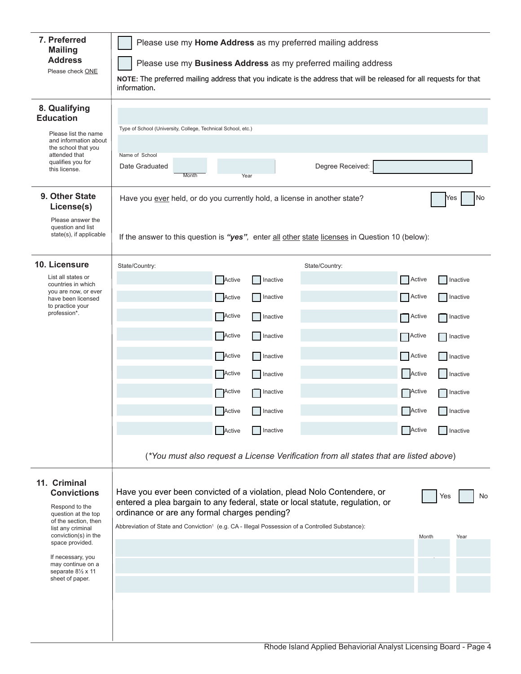| 7. Preferred<br><b>Mailing</b><br><b>Address</b><br>Please check ONE                                                                                                                                                                                   | Please use my Home Address as my preferred mailing address<br>Please use my Business Address as my preferred mailing address<br>NOTE: The preferred mailing address that you indicate is the address that will be released for all requests for that<br>information.                                                                                     |                                                                                                                                                                                                                             |  |  |
|--------------------------------------------------------------------------------------------------------------------------------------------------------------------------------------------------------------------------------------------------------|----------------------------------------------------------------------------------------------------------------------------------------------------------------------------------------------------------------------------------------------------------------------------------------------------------------------------------------------------------|-----------------------------------------------------------------------------------------------------------------------------------------------------------------------------------------------------------------------------|--|--|
| 8. Qualifying<br><b>Education</b><br>Please list the name<br>and information about<br>the school that you<br>attended that<br>qualifies you for<br>this license.                                                                                       | Type of School (University, College, Technical School, etc.)<br>Name of School<br>Degree Received:<br>Date Graduated<br>Month<br>Year                                                                                                                                                                                                                    |                                                                                                                                                                                                                             |  |  |
| 9. Other State<br>License(s)<br>Please answer the<br>question and list<br>state(s), if applicable                                                                                                                                                      | No<br>Have you ever held, or do you currently hold, a license in another state?<br>Yes<br>If the answer to this question is "yes", enter all other state licenses in Question 10 (below):                                                                                                                                                                |                                                                                                                                                                                                                             |  |  |
| 10. Licensure<br>List all states or<br>countries in which<br>you are now, or ever<br>have been licensed<br>to practice your<br>profession*.                                                                                                            | State/Country:<br>State/Country:<br>Active<br>Inactive<br>Active<br>Inactive<br>Active<br>Inactive<br>Active<br>  Inactive<br>Active<br>Inactive<br>Active<br>Inactive<br><b>Active</b><br><b>O</b> Inactive<br>Active<br>$\Box$ Inactive<br>Active<br>Inactive<br>(*You must also request a License Verification from all states that are listed above) | Active<br>Inactive<br>Active<br>Inactive<br>Active<br>  Inactive<br>Active<br>Inactive<br>Active<br>Inactive<br>Active<br>Inactive<br><b>Active</b><br><b>O</b> Inactive<br>Active<br>$\Box$ Inactive<br>Active<br>Inactive |  |  |
| 11. Criminal<br><b>Convictions</b><br>Respond to the<br>question at the top<br>of the section, then<br>list any criminal<br>conviction(s) in the<br>space provided.<br>If necessary, you<br>may continue on a<br>separate 81/2 x 11<br>sheet of paper. | Have you ever been convicted of a violation, plead Nolo Contendere, or<br>Yes<br>entered a plea bargain to any federal, state or local statute, regulation, or<br>ordinance or are any formal charges pending?<br>Abbreviation of State and Conviction <sup>1</sup> (e.g. CA - Illegal Possession of a Controlled Substance):<br>Month<br>Year           |                                                                                                                                                                                                                             |  |  |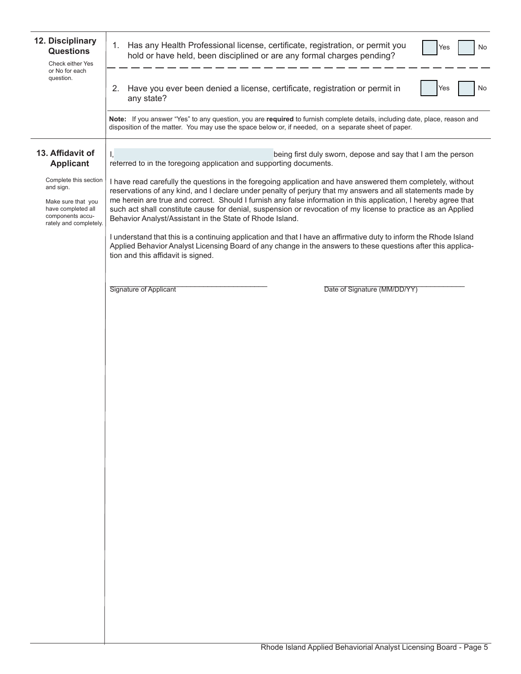| 12. Disciplinary<br><b>Questions</b><br>Check either Yes                                                                     | Has any Health Professional license, certificate, registration, or permit you<br>1.<br>No<br>Yes<br>hold or have held, been disciplined or are any formal charges pending?                                                                                                                                                                                                                                                                                                                                                |
|------------------------------------------------------------------------------------------------------------------------------|---------------------------------------------------------------------------------------------------------------------------------------------------------------------------------------------------------------------------------------------------------------------------------------------------------------------------------------------------------------------------------------------------------------------------------------------------------------------------------------------------------------------------|
| or No for each<br>question.                                                                                                  | Have you ever been denied a license, certificate, registration or permit in<br>2.<br>No<br>Yes<br>any state?                                                                                                                                                                                                                                                                                                                                                                                                              |
|                                                                                                                              | Note: If you answer "Yes" to any question, you are required to furnish complete details, including date, place, reason and<br>disposition of the matter. You may use the space below or, if needed, on a separate sheet of paper.                                                                                                                                                                                                                                                                                         |
| 13. Affidavit of<br><b>Applicant</b>                                                                                         | Ι,<br>being first duly sworn, depose and say that I am the person<br>referred to in the foregoing application and supporting documents.                                                                                                                                                                                                                                                                                                                                                                                   |
| Complete this section<br>and sign.<br>Make sure that you<br>have completed all<br>components accu-<br>rately and completely. | I have read carefully the questions in the foregoing application and have answered them completely, without<br>reservations of any kind, and I declare under penalty of perjury that my answers and all statements made by<br>me herein are true and correct. Should I furnish any false information in this application, I hereby agree that<br>such act shall constitute cause for denial, suspension or revocation of my license to practice as an Applied<br>Behavior Analyst/Assistant in the State of Rhode Island. |
|                                                                                                                              | I understand that this is a continuing application and that I have an affirmative duty to inform the Rhode Island<br>Applied Behavior Analyst Licensing Board of any change in the answers to these questions after this applica-<br>tion and this affidavit is signed.                                                                                                                                                                                                                                                   |
|                                                                                                                              | Signature of Applicant<br>Date of Signature (MM/DD/YY)                                                                                                                                                                                                                                                                                                                                                                                                                                                                    |
|                                                                                                                              |                                                                                                                                                                                                                                                                                                                                                                                                                                                                                                                           |
|                                                                                                                              |                                                                                                                                                                                                                                                                                                                                                                                                                                                                                                                           |
|                                                                                                                              |                                                                                                                                                                                                                                                                                                                                                                                                                                                                                                                           |
|                                                                                                                              |                                                                                                                                                                                                                                                                                                                                                                                                                                                                                                                           |
|                                                                                                                              |                                                                                                                                                                                                                                                                                                                                                                                                                                                                                                                           |
|                                                                                                                              |                                                                                                                                                                                                                                                                                                                                                                                                                                                                                                                           |
|                                                                                                                              |                                                                                                                                                                                                                                                                                                                                                                                                                                                                                                                           |
|                                                                                                                              |                                                                                                                                                                                                                                                                                                                                                                                                                                                                                                                           |
|                                                                                                                              |                                                                                                                                                                                                                                                                                                                                                                                                                                                                                                                           |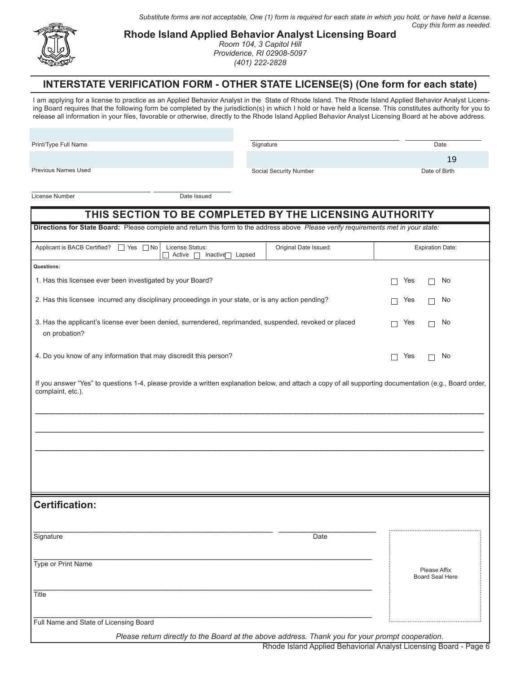*Substitute forms are not acceptable, One (1) form is required for each state in which you hold, or have held a license. Copy this form as needed.*

Social Security Number Date of Birth



**Rhode Island Applied Behavior Analyst Licensing Board**

*Room 104, 3 Capitol Hill Providence, RI 02908-5097 (401) 222-2828*

#### **INTERSTATE VERIFICATION FORM - OTHER STATE LICENSE(S) (One form for each state)**

I am applying for a license to practice as an Applied Behavior Analyst in the State of Rhode Island. The Rhode Island Applied Behavior Analyst Licensing Board requires that the following form be completed by the jurisdiction(s) in which I hold or have held a license. This constitutes authority for you to release all information in your files, favorable or otherwise, directly to the Rhode Island Applied Behavior Analyst Licensing Board at he above address.

Print/Type Full Name

Signature Date

19

Previous Names Used

License Number Date Issued

| THIS SECTION TO BE COMPLETED BY THE LICENSING AUTHORITY                                                                                                                      |                                                                                                                                     |                                        |  |  |
|------------------------------------------------------------------------------------------------------------------------------------------------------------------------------|-------------------------------------------------------------------------------------------------------------------------------------|----------------------------------------|--|--|
|                                                                                                                                                                              | Directions for State Board: Please complete and return this form to the address above Please verify requirements met in your state: |                                        |  |  |
| Applicant is BACB Certified? □ Yes □ No<br>License Status:<br>Active   Inactive   Lapsed                                                                                     | Original Date Issued:                                                                                                               | <b>Expiration Date:</b>                |  |  |
| Questions:                                                                                                                                                                   |                                                                                                                                     |                                        |  |  |
| 1. Has this licensee ever been investigated by your Board?                                                                                                                   |                                                                                                                                     | Yes<br>No                              |  |  |
| 2. Has this licensee incurred any disciplinary proceedings in your state, or is any action pending?                                                                          | Yes<br>No<br>П                                                                                                                      |                                        |  |  |
| 3. Has the applicant's license ever been denied, surrendered, reprimanded, suspended, revoked or placed<br>on probation?                                                     | Yes<br>No<br>П                                                                                                                      |                                        |  |  |
| 4. Do you know of any information that may discredit this person?                                                                                                            |                                                                                                                                     | Yes<br>No<br>$\perp$                   |  |  |
| If you answer "Yes" to questions 1-4, please provide a written explanation below, and attach a copy of all supporting documentation (e.g., Board order,<br>complaint, etc.). |                                                                                                                                     |                                        |  |  |
|                                                                                                                                                                              |                                                                                                                                     |                                        |  |  |
|                                                                                                                                                                              |                                                                                                                                     |                                        |  |  |
|                                                                                                                                                                              |                                                                                                                                     |                                        |  |  |
|                                                                                                                                                                              |                                                                                                                                     |                                        |  |  |
| <b>Certification:</b>                                                                                                                                                        |                                                                                                                                     |                                        |  |  |
|                                                                                                                                                                              |                                                                                                                                     |                                        |  |  |
| Signature                                                                                                                                                                    | Date                                                                                                                                |                                        |  |  |
| Type or Print Name                                                                                                                                                           |                                                                                                                                     | Please Affix<br><b>Board Seal Here</b> |  |  |
| Title                                                                                                                                                                        |                                                                                                                                     |                                        |  |  |
| Full Name and State of Licensing Board                                                                                                                                       |                                                                                                                                     |                                        |  |  |
| Please return directly to the Board at the above address. Thank you for your prompt cooperation.                                                                             |                                                                                                                                     |                                        |  |  |